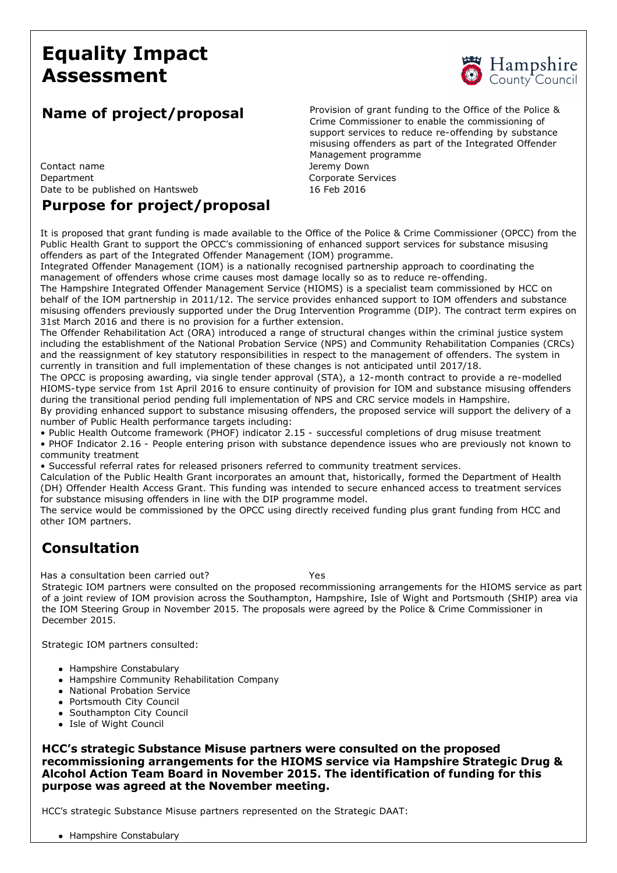# **Equality Impact Assessment**



Contact name **Vertex** 2012 12:00 and 2012 12:00 and 2012 12:00 and 2012 12:00 and 2012 12:00 and 2012 12:00 and 2012 12:00 and 2012 12:00 and 2012 12:00 and 2012 12:00 and 2012 12:00 and 2012 12:00 and 2012 12:00 and 2012 Department Corporate Services Date to be published on Hantsweb 16 Feb 2016

### **Purpose for project/proposal**

**Name of project/proposal** Provision of grant funding to the Office of the Police & Crime Commissioner to enable the commissioning of support services to reduce re-offending by substance misusing offenders as part of the Integrated Offender Management programme

It is proposed that grant funding is made available to the Office of the Police & Crime Commissioner (OPCC) from the Public Health Grant to support the OPCC's commissioning of enhanced support services for substance misusing offenders as part of the Integrated Offender Management (IOM) programme.

Integrated Offender Management (IOM) is a nationally recognised partnership approach to coordinating the management of offenders whose crime causes most damage locally so as to reduce re-offending.

The Hampshire Integrated Offender Management Service (HIOMS) is a specialist team commissioned by HCC on behalf of the IOM partnership in 2011/12. The service provides enhanced support to IOM offenders and substance misusing offenders previously supported under the Drug Intervention Programme (DIP). The contract term expires on 31st March 2016 and there is no provision for a further extension.

The Offender Rehabilitation Act (ORA) introduced a range of structural changes within the criminal justice system including the establishment of the National Probation Service (NPS) and Community Rehabilitation Companies (CRCs) and the reassignment of key statutory responsibilities in respect to the management of offenders. The system in currently in transition and full implementation of these changes is not anticipated until 2017/18.

The OPCC is proposing awarding, via single tender approval (STA), a 12-month contract to provide a re-modelled HIOMS-type service from 1st April 2016 to ensure continuity of provision for IOM and substance misusing offenders during the transitional period pending full implementation of NPS and CRC service models in Hampshire.

By providing enhanced support to substance misusing offenders, the proposed service will support the delivery of a number of Public Health performance targets including:

• Public Health Outcome framework (PHOF) indicator 2.15 - successful completions of drug misuse treatment

• PHOF Indicator 2.16 People entering prison with substance dependence issues who are previously not known to community treatment

• Successful referral rates for released prisoners referred to community treatment services.

Calculation of the Public Health Grant incorporates an amount that, historically, formed the Department of Health (DH) Offender Health Access Grant. This funding was intended to secure enhanced access to treatment services for substance misusing offenders in line with the DIP programme model.

The service would be commissioned by the OPCC using directly received funding plus grant funding from HCC and other IOM partners.

## **Consultation**

Has a consultation been carried out? Yes

Strategic IOM partners were consulted on the proposed recommissioning arrangements for the HIOMS service as part of a joint review of IOM provision across the Southampton, Hampshire, Isle of Wight and Portsmouth (SHIP) area via the IOM Steering Group in November 2015. The proposals were agreed by the Police & Crime Commissioner in December 2015.

Strategic IOM partners consulted:

- Hampshire Constabulary
- Hampshire Community Rehabilitation Company
- National Probation Service
- Portsmouth City Council
- Southampton City Council
- Isle of Wight Council

**HCC's strategic Substance Misuse partners were consulted on the proposed recommissioning arrangements for the HIOMS service via Hampshire Strategic Drug & Alcohol Action Team Board in November 2015. The identification of funding for this purpose was agreed at the November meeting.**

HCC's strategic Substance Misuse partners represented on the Strategic DAAT:

• Hampshire Constabulary